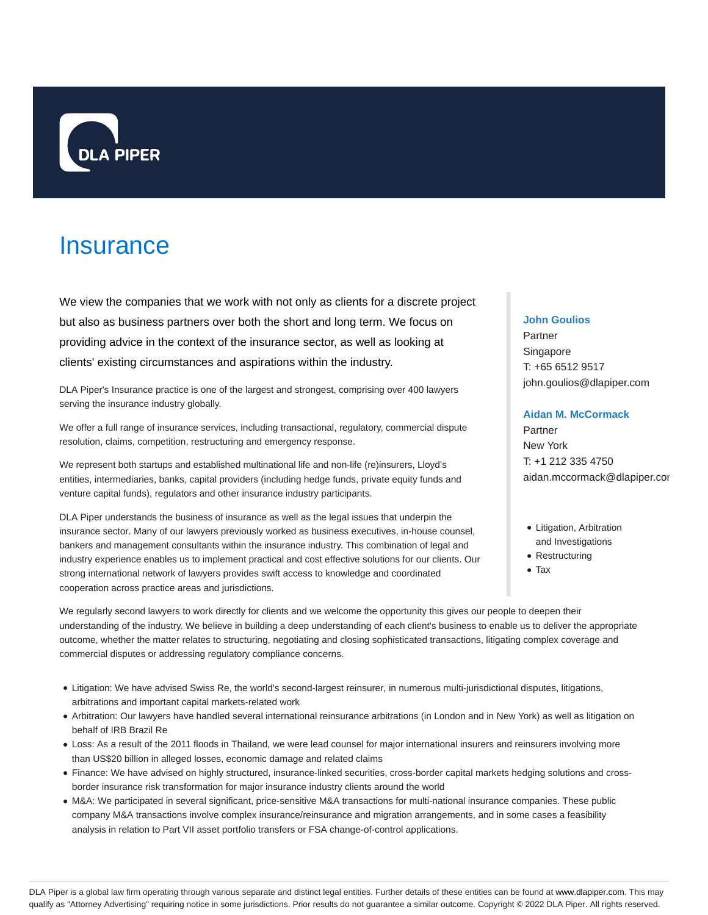

# **Insurance**

We view the companies that we work with not only as clients for a discrete project but also as business partners over both the short and long term. We focus on providing advice in the context of the insurance sector, as well as looking at clients' existing circumstances and aspirations within the industry.

DLA Piper's Insurance practice is one of the largest and strongest, comprising over 400 lawyers serving the insurance industry globally.

We offer a full range of insurance services, including transactional, regulatory, commercial dispute resolution, claims, competition, restructuring and emergency response.

We represent both startups and established multinational life and non-life (re)insurers, Lloyd's entities, intermediaries, banks, capital providers (including hedge funds, private equity funds and venture capital funds), regulators and other insurance industry participants.

DLA Piper understands the business of insurance as well as the legal issues that underpin the insurance sector. Many of our lawyers previously worked as business executives, in-house counsel, bankers and management consultants within the insurance industry. This combination of legal and industry experience enables us to implement practical and cost effective solutions for our clients. Our strong international network of lawyers provides swift access to knowledge and coordinated cooperation across practice areas and jurisdictions.

## **John Goulios**

Partner Singapore T: +65 6512 9517 john.goulios@dlapiper.com

#### **Aidan M. McCormack**

Partner New York T: +1 212 335 4750 aidan.mccormack@dlapiper.cor

- Litigation, Arbitration and Investigations
- Restructuring
- Tax

We regularly second lawyers to work directly for clients and we welcome the opportunity this gives our people to deepen their understanding of the industry. We believe in building a deep understanding of each client's business to enable us to deliver the appropriate outcome, whether the matter relates to structuring, negotiating and closing sophisticated transactions, litigating complex coverage and commercial disputes or addressing regulatory compliance concerns.

- Litigation: We have advised Swiss Re, the world's second-largest reinsurer, in numerous multi-jurisdictional disputes, litigations, arbitrations and important capital markets-related work
- Arbitration: Our lawyers have handled several international reinsurance arbitrations (in London and in New York) as well as litigation on behalf of IRB Brazil Re
- Loss: As a result of the 2011 floods in Thailand, we were lead counsel for major international insurers and reinsurers involving more than US\$20 billion in alleged losses, economic damage and related claims
- Finance: We have advised on highly structured, insurance-linked securities, cross-border capital markets hedging solutions and crossborder insurance risk transformation for major insurance industry clients around the world
- M&A: We participated in several significant, price-sensitive M&A transactions for multi-national insurance companies. These public company M&A transactions involve complex insurance/reinsurance and migration arrangements, and in some cases a feasibility analysis in relation to Part VII asset portfolio transfers or FSA change-of-control applications.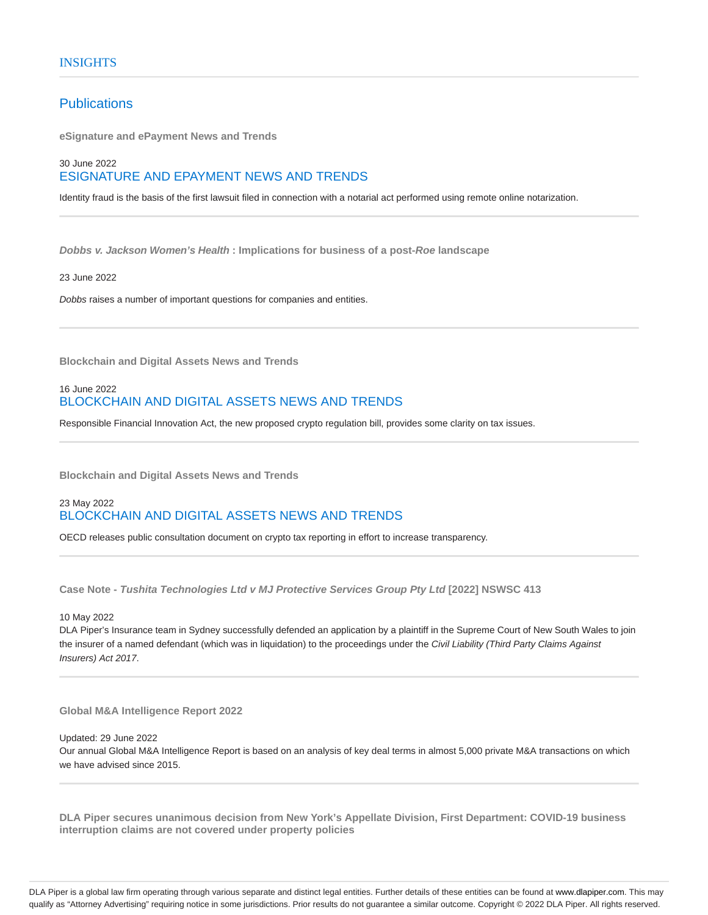# **Publications**

**eSignature and ePayment News and Trends**

## 30 June 2022 ESIGNATURE AND EPAYMENT NEWS AND TRENDS

Identity fraud is the basis of the first lawsuit filed in connection with a notarial act performed using remote online notarization.

**Dobbs v. Jackson Women's Health : Implications for business of a post-Roe landscape**

#### 23 June 2022

Dobbs raises a number of important questions for companies and entities.

**Blockchain and Digital Assets News and Trends**

## 16 June 2022 BLOCKCHAIN AND DIGITAL ASSETS NEWS AND TRENDS

Responsible Financial Innovation Act, the new proposed crypto regulation bill, provides some clarity on tax issues.

**Blockchain and Digital Assets News and Trends**

## 23 May 2022 BLOCKCHAIN AND DIGITAL ASSETS NEWS AND TRENDS

OECD releases public consultation document on crypto tax reporting in effort to increase transparency.

**Case Note - Tushita Technologies Ltd v MJ Protective Services Group Pty Ltd [2022] NSWSC 413**

## 10 May 2022

DLA Piper's Insurance team in Sydney successfully defended an application by a plaintiff in the Supreme Court of New South Wales to join the insurer of a named defendant (which was in liquidation) to the proceedings under the Civil Liability (Third Party Claims Against Insurers) Act 2017.

#### **Global M&A Intelligence Report 2022**

### Updated: 29 June 2022

Our annual Global M&A Intelligence Report is based on an analysis of key deal terms in almost 5,000 private M&A transactions on which we have advised since 2015.

**DLA Piper secures unanimous decision from New York's Appellate Division, First Department: COVID-19 business interruption claims are not covered under property policies**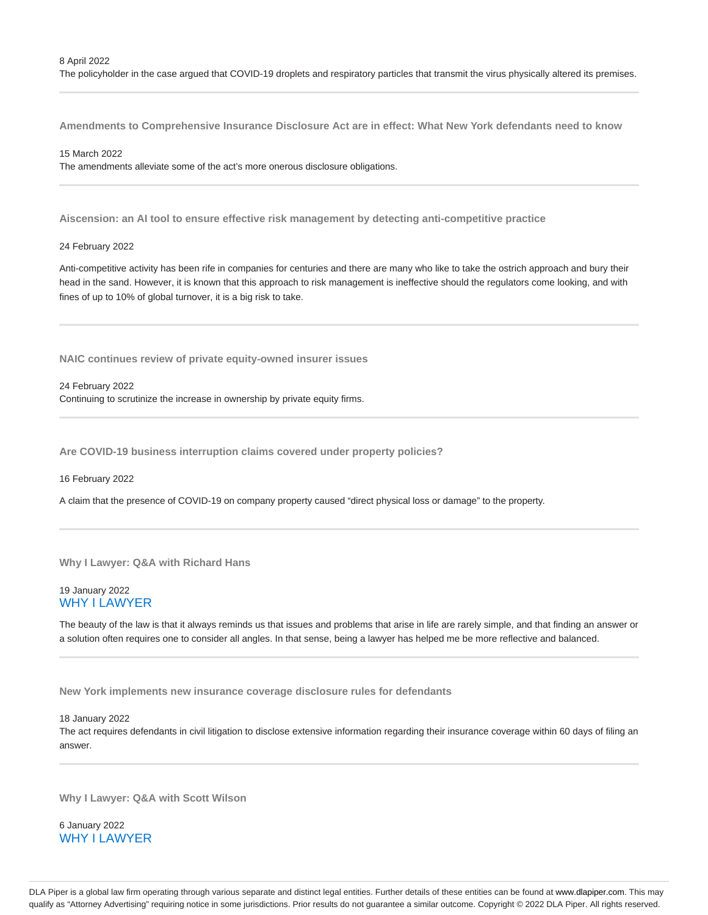The policyholder in the case argued that COVID-19 droplets and respiratory particles that transmit the virus physically altered its premises.

**Amendments to Comprehensive Insurance Disclosure Act are in effect: What New York defendants need to know**

## 15 March 2022

The amendments alleviate some of the act's more onerous disclosure obligations.

**Aiscension: an AI tool to ensure effective risk management by detecting anti-competitive practice**

#### 24 February 2022

Anti-competitive activity has been rife in companies for centuries and there are many who like to take the ostrich approach and bury their head in the sand. However, it is known that this approach to risk management is ineffective should the regulators come looking, and with fines of up to 10% of global turnover, it is a big risk to take.

**NAIC continues review of private equity-owned insurer issues**

#### 24 February 2022

Continuing to scrutinize the increase in ownership by private equity firms.

**Are COVID-19 business interruption claims covered under property policies?**

#### 16 February 2022

A claim that the presence of COVID-19 on company property caused "direct physical loss or damage" to the property.

#### **Why I Lawyer: Q&A with Richard Hans**

## 19 January 2022 WHY I LAWYER

The beauty of the law is that it always reminds us that issues and problems that arise in life are rarely simple, and that finding an answer or a solution often requires one to consider all angles. In that sense, being a lawyer has helped me be more reflective and balanced.

**New York implements new insurance coverage disclosure rules for defendants**

#### 18 January 2022

The act requires defendants in civil litigation to disclose extensive information regarding their insurance coverage within 60 days of filing an answer.

**Why I Lawyer: Q&A with Scott Wilson**

6 January 2022 WHY I LAWYER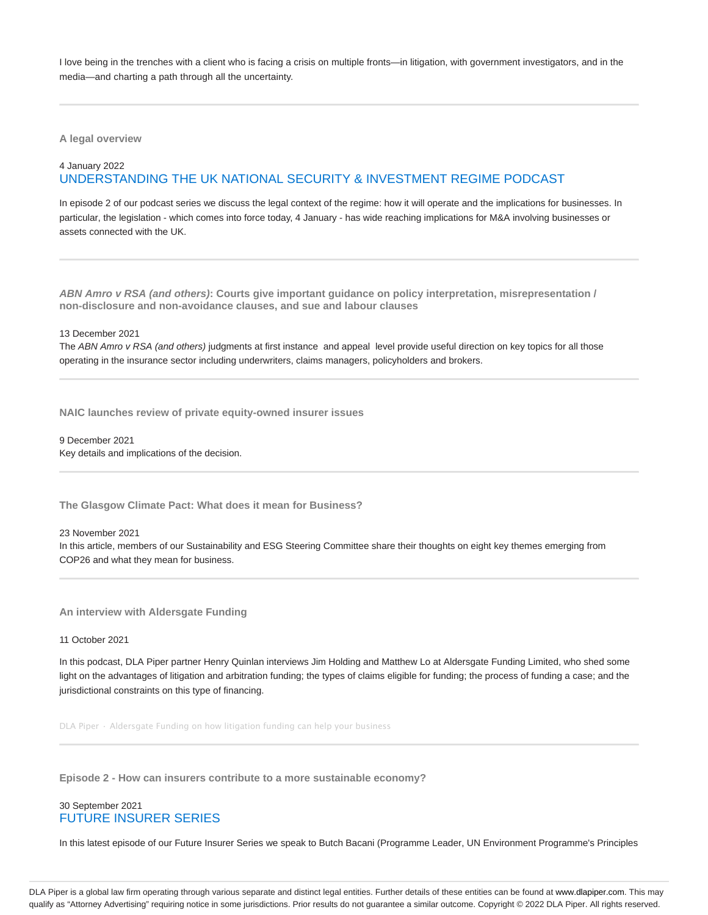I love being in the trenches with a client who is facing a crisis on multiple fronts—in litigation, with government investigators, and in the media—and charting a path through all the uncertainty.

**A legal overview**

## 4 January 2022 UNDERSTANDING THE UK NATIONAL SECURITY & INVESTMENT REGIME PODCAST

In episode 2 of our podcast series we discuss the legal context of the regime: how it will operate and the implications for businesses. In particular, the legislation - which comes into force today, 4 January - has wide reaching implications for M&A involving businesses or assets connected with the UK.

**ABN Amro v RSA (and others): Courts give important guidance on policy interpretation, misrepresentation / non-disclosure and non-avoidance clauses, and sue and labour clauses**

13 December 2021

The ABN Amro v RSA (and others) judgments at first instance and appeal level provide useful direction on key topics for all those operating in the insurance sector including underwriters, claims managers, policyholders and brokers.

**NAIC launches review of private equity-owned insurer issues**

9 December 2021 Key details and implications of the decision.

**The Glasgow Climate Pact: What does it mean for Business?**

23 November 2021

In this article, members of our Sustainability and ESG Steering Committee share their thoughts on eight key themes emerging from COP26 and what they mean for business.

**An interview with Aldersgate Funding**

#### 11 October 2021

In this podcast, DLA Piper partner Henry Quinlan interviews Jim Holding and Matthew Lo at Aldersgate Funding Limited, who shed some light on the advantages of litigation and arbitration funding; the types of claims eligible for funding; the process of funding a case; and the jurisdictional constraints on this type of financing.

DLA Piper · Aldersgate Funding on how litigation funding can help your business

**Episode 2 - How can insurers contribute to a more sustainable economy?**

## 30 September 2021 FUTURE INSURER SERIES

In this latest episode of our Future Insurer Series we speak to Butch Bacani (Programme Leader, UN Environment Programme's Principles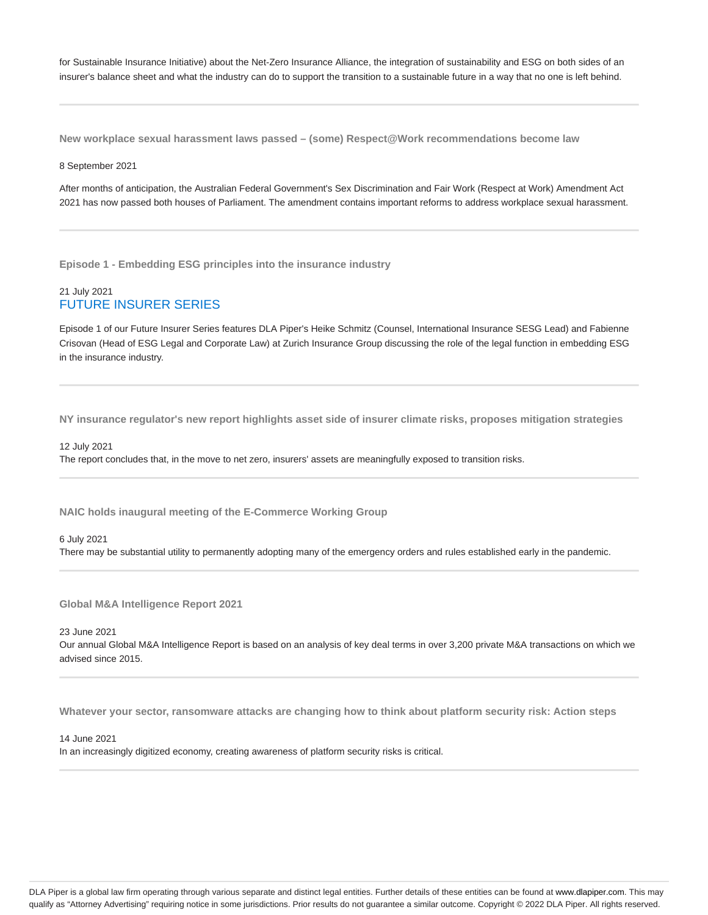for Sustainable Insurance Initiative) about the Net-Zero Insurance Alliance, the integration of sustainability and ESG on both sides of an insurer's balance sheet and what the industry can do to support the transition to a sustainable future in a way that no one is left behind.

**New workplace sexual harassment laws passed – (some) Respect@Work recommendations become law**

#### 8 September 2021

After months of anticipation, the Australian Federal Government's Sex Discrimination and Fair Work (Respect at Work) Amendment Act 2021 has now passed both houses of Parliament. The amendment contains important reforms to address workplace sexual harassment.

**Episode 1 - Embedding ESG principles into the insurance industry**

## 21 July 2021 FUTURE INSURER SERIES

Episode 1 of our Future Insurer Series features DLA Piper's Heike Schmitz (Counsel, International Insurance SESG Lead) and Fabienne Crisovan (Head of ESG Legal and Corporate Law) at Zurich Insurance Group discussing the role of the legal function in embedding ESG in the insurance industry.

**NY insurance regulator's new report highlights asset side of insurer climate risks, proposes mitigation strategies**

12 July 2021 The report concludes that, in the move to net zero, insurers' assets are meaningfully exposed to transition risks.

**NAIC holds inaugural meeting of the E-Commerce Working Group**

6 July 2021 There may be substantial utility to permanently adopting many of the emergency orders and rules established early in the pandemic.

**Global M&A Intelligence Report 2021**

23 June 2021

Our annual Global M&A Intelligence Report is based on an analysis of key deal terms in over 3,200 private M&A transactions on which we advised since 2015.

**Whatever your sector, ransomware attacks are changing how to think about platform security risk: Action steps**

14 June 2021

In an increasingly digitized economy, creating awareness of platform security risks is critical.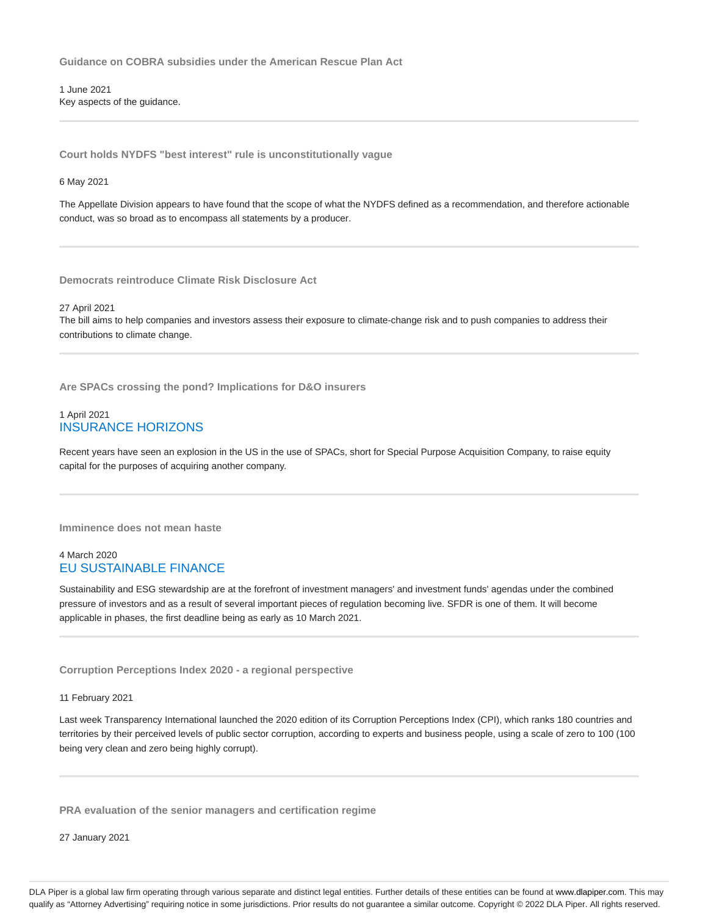**Guidance on COBRA subsidies under the American Rescue Plan Act**

1 June 2021 Key aspects of the guidance.

**Court holds NYDFS "best interest" rule is unconstitutionally vague**

6 May 2021

The Appellate Division appears to have found that the scope of what the NYDFS defined as a recommendation, and therefore actionable conduct, was so broad as to encompass all statements by a producer.

**Democrats reintroduce Climate Risk Disclosure Act**

27 April 2021

The bill aims to help companies and investors assess their exposure to climate-change risk and to push companies to address their contributions to climate change.

**Are SPACs crossing the pond? Implications for D&O insurers**

## 1 April 2021 INSURANCE HORIZONS

Recent years have seen an explosion in the US in the use of SPACs, short for Special Purpose Acquisition Company, to raise equity capital for the purposes of acquiring another company.

**Imminence does not mean haste**

## 4 March 2020 EU SUSTAINABLE FINANCE

Sustainability and ESG stewardship are at the forefront of investment managers' and investment funds' agendas under the combined pressure of investors and as a result of several important pieces of regulation becoming live. SFDR is one of them. It will become applicable in phases, the first deadline being as early as 10 March 2021.

**Corruption Perceptions Index 2020 - a regional perspective**

11 February 2021

Last week Transparency International launched the 2020 edition of its Corruption Perceptions Index (CPI), which ranks 180 countries and territories by their perceived levels of public sector corruption, according to experts and business people, using a scale of zero to 100 (100 being very clean and zero being highly corrupt).

**PRA evaluation of the senior managers and certification regime**

27 January 2021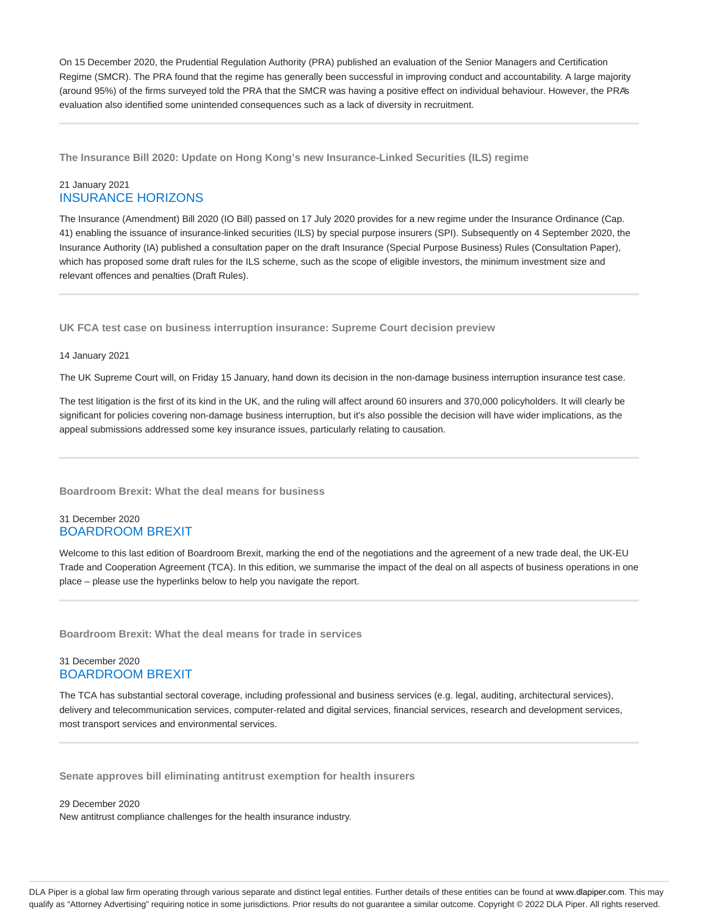On 15 December 2020, the Prudential Regulation Authority (PRA) published an evaluation of the Senior Managers and Certification Regime (SMCR). The PRA found that the regime has generally been successful in improving conduct and accountability. A large majority (around 95%) of the firms surveyed told the PRA that the SMCR was having a positive effect on individual behaviour. However, the PRA's evaluation also identified some unintended consequences such as a lack of diversity in recruitment.

**The Insurance Bill 2020: Update on Hong Kong's new Insurance-Linked Securities (ILS) regime**

## 21 January 2021 INSURANCE HORIZONS

The Insurance (Amendment) Bill 2020 (IO Bill) passed on 17 July 2020 provides for a new regime under the Insurance Ordinance (Cap. 41) enabling the issuance of insurance-linked securities (ILS) by special purpose insurers (SPI). Subsequently on 4 September 2020, the Insurance Authority (IA) published a consultation paper on the draft Insurance (Special Purpose Business) Rules (Consultation Paper), which has proposed some draft rules for the ILS scheme, such as the scope of eligible investors, the minimum investment size and relevant offences and penalties (Draft Rules).

**UK FCA test case on business interruption insurance: Supreme Court decision preview**

#### 14 January 2021

The UK Supreme Court will, on Friday 15 January, hand down its decision in the non-damage business interruption insurance test case.

The test litigation is the first of its kind in the UK, and the ruling will affect around 60 insurers and 370,000 policyholders. It will clearly be significant for policies covering non-damage business interruption, but it's also possible the decision will have wider implications, as the appeal submissions addressed some key insurance issues, particularly relating to causation.

**Boardroom Brexit: What the deal means for business**

## 31 December 2020 BOARDROOM BREXIT

Welcome to this last edition of Boardroom Brexit, marking the end of the negotiations and the agreement of a new trade deal, the UK-EU Trade and Cooperation Agreement (TCA). In this edition, we summarise the impact of the deal on all aspects of business operations in one place – please use the hyperlinks below to help you navigate the report.

**Boardroom Brexit: What the deal means for trade in services**

## 31 December 2020 BOARDROOM BREXIT

The TCA has substantial sectoral coverage, including professional and business services (e.g. legal, auditing, architectural services), delivery and telecommunication services, computer-related and digital services, financial services, research and development services, most transport services and environmental services.

**Senate approves bill eliminating antitrust exemption for health insurers**

29 December 2020 New antitrust compliance challenges for the health insurance industry.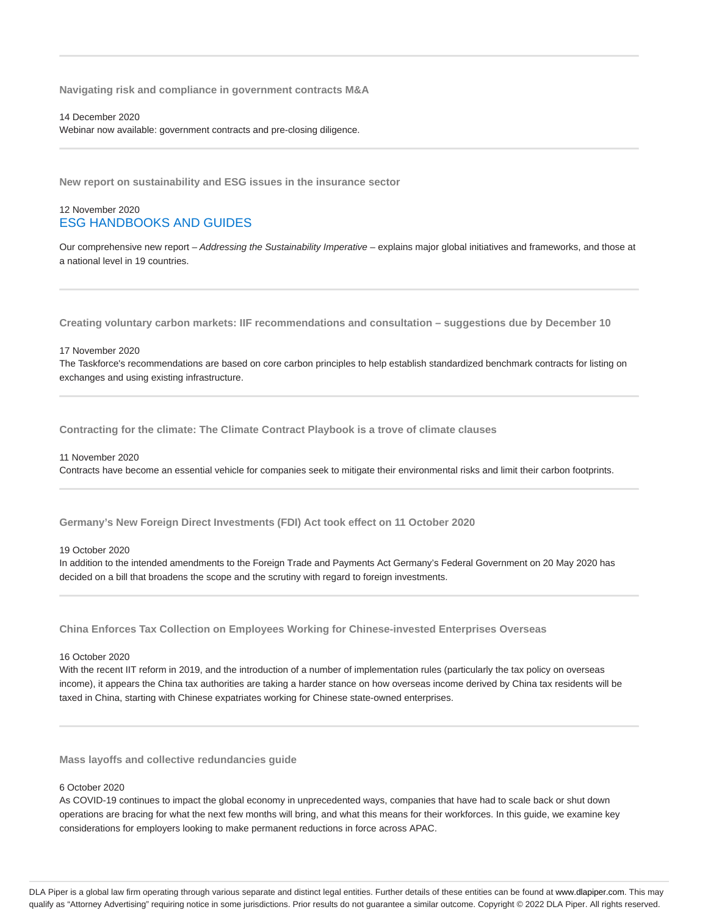**Navigating risk and compliance in government contracts M&A**

14 December 2020

Webinar now available: government contracts and pre-closing diligence.

**New report on sustainability and ESG issues in the insurance sector**

## 12 November 2020 ESG HANDBOOKS AND GUIDES

Our comprehensive new report - Addressing the Sustainability Imperative - explains major global initiatives and frameworks, and those at a national level in 19 countries.

**Creating voluntary carbon markets: IIF recommendations and consultation – suggestions due by December 10**

#### 17 November 2020

The Taskforce's recommendations are based on core carbon principles to help establish standardized benchmark contracts for listing on exchanges and using existing infrastructure.

**Contracting for the climate: The Climate Contract Playbook is a trove of climate clauses**

#### 11 November 2020

Contracts have become an essential vehicle for companies seek to mitigate their environmental risks and limit their carbon footprints.

**Germany's New Foreign Direct Investments (FDI) Act took effect on 11 October 2020**

#### 19 October 2020

In addition to the intended amendments to the Foreign Trade and Payments Act Germany's Federal Government on 20 May 2020 has decided on a bill that broadens the scope and the scrutiny with regard to foreign investments.

**China Enforces Tax Collection on Employees Working for Chinese-invested Enterprises Overseas**

## 16 October 2020

With the recent IIT reform in 2019, and the introduction of a number of implementation rules (particularly the tax policy on overseas income), it appears the China tax authorities are taking a harder stance on how overseas income derived by China tax residents will be taxed in China, starting with Chinese expatriates working for Chinese state-owned enterprises.

**Mass layoffs and collective redundancies guide**

## 6 October 2020

As COVID-19 continues to impact the global economy in unprecedented ways, companies that have had to scale back or shut down operations are bracing for what the next few months will bring, and what this means for their workforces. In this guide, we examine key considerations for employers looking to make permanent reductions in force across APAC.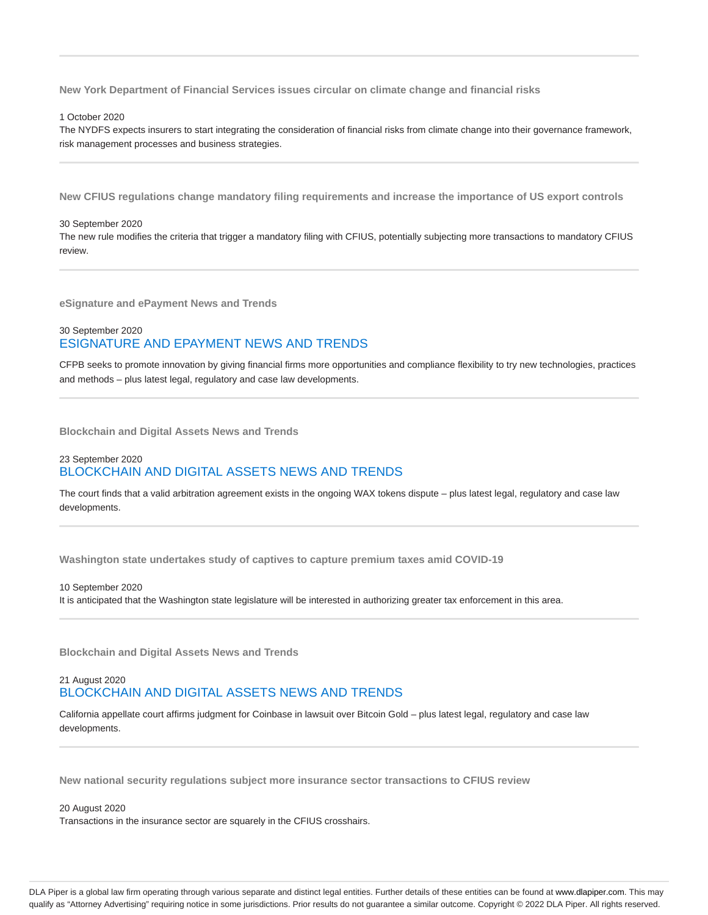**New York Department of Financial Services issues circular on climate change and financial risks**

#### 1 October 2020

The NYDFS expects insurers to start integrating the consideration of financial risks from climate change into their governance framework, risk management processes and business strategies.

**New CFIUS regulations change mandatory filing requirements and increase the importance of US export controls**

#### 30 September 2020

The new rule modifies the criteria that trigger a mandatory filing with CFIUS, potentially subjecting more transactions to mandatory CFIUS review.

**eSignature and ePayment News and Trends**

## 30 September 2020 ESIGNATURE AND EPAYMENT NEWS AND TRENDS

CFPB seeks to promote innovation by giving financial firms more opportunities and compliance flexibility to try new technologies, practices and methods – plus latest legal, regulatory and case law developments.

**Blockchain and Digital Assets News and Trends**

## 23 September 2020 BLOCKCHAIN AND DIGITAL ASSETS NEWS AND TRENDS

The court finds that a valid arbitration agreement exists in the ongoing WAX tokens dispute – plus latest legal, regulatory and case law developments.

**Washington state undertakes study of captives to capture premium taxes amid COVID-19**

#### 10 September 2020 It is anticipated that the Washington state legislature will be interested in authorizing greater tax enforcement in this area.

**Blockchain and Digital Assets News and Trends**

## 21 August 2020 BLOCKCHAIN AND DIGITAL ASSETS NEWS AND TRENDS

California appellate court affirms judgment for Coinbase in lawsuit over Bitcoin Gold – plus latest legal, regulatory and case law developments.

**New national security regulations subject more insurance sector transactions to CFIUS review**

20 August 2020 Transactions in the insurance sector are squarely in the CFIUS crosshairs.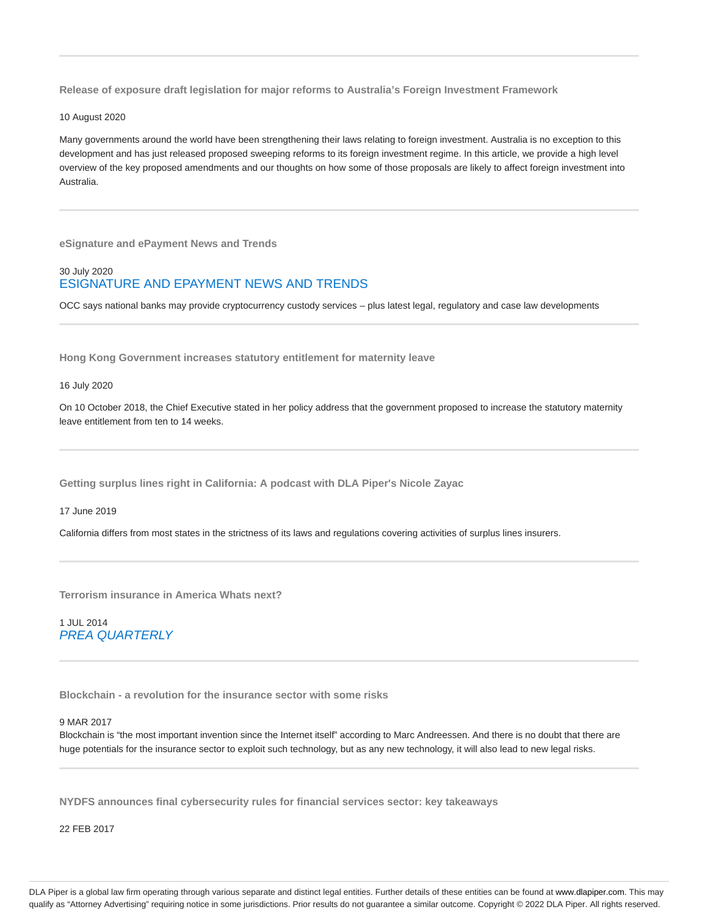**Release of exposure draft legislation for major reforms to Australia's Foreign Investment Framework**

10 August 2020

Many governments around the world have been strengthening their laws relating to foreign investment. Australia is no exception to this development and has just released proposed sweeping reforms to its foreign investment regime. In this article, we provide a high level overview of the key proposed amendments and our thoughts on how some of those proposals are likely to affect foreign investment into Australia.

**eSignature and ePayment News and Trends**

## 30 July 2020 ESIGNATURE AND EPAYMENT NEWS AND TRENDS

OCC says national banks may provide cryptocurrency custody services – plus latest legal, regulatory and case law developments

**Hong Kong Government increases statutory entitlement for maternity leave**

16 July 2020

On 10 October 2018, the Chief Executive stated in her policy address that the government proposed to increase the statutory maternity leave entitlement from ten to 14 weeks.

**Getting surplus lines right in California: A podcast with DLA Piper's Nicole Zayac**

17 June 2019

California differs from most states in the strictness of its laws and regulations covering activities of surplus lines insurers.

**Terrorism insurance in America Whats next?**

1 JUL 2014 PREA QUARTERLY

**Blockchain - a revolution for the insurance sector with some risks**

## 9 MAR 2017

Blockchain is "the most important invention since the Internet itself" according to Marc Andreessen. And there is no doubt that there are huge potentials for the insurance sector to exploit such technology, but as any new technology, it will also lead to new legal risks.

**NYDFS announces final cybersecurity rules for financial services sector: key takeaways**

22 FEB 2017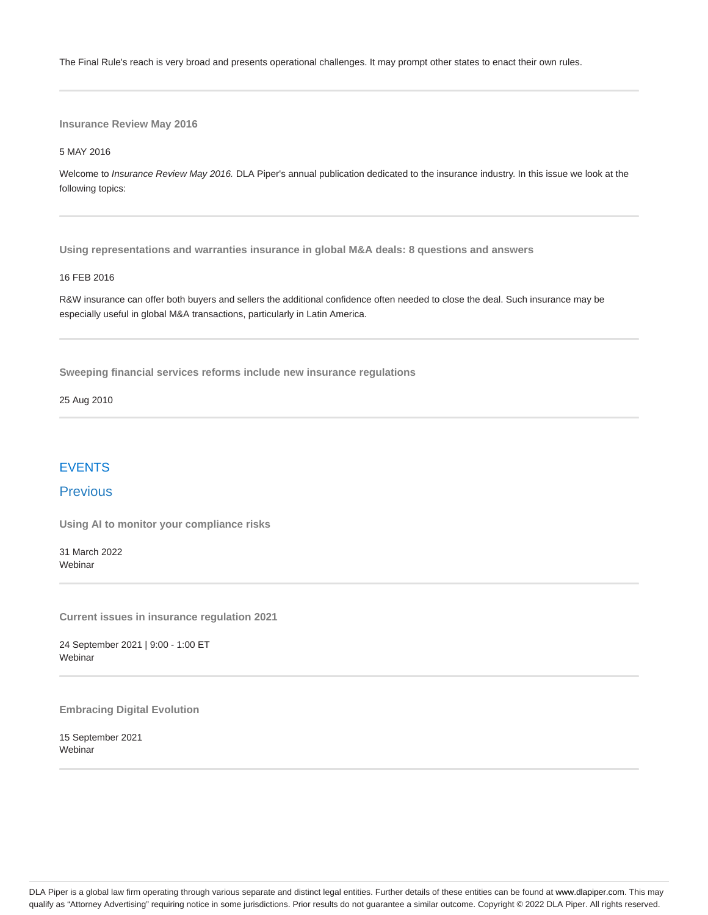The Final Rule's reach is very broad and presents operational challenges. It may prompt other states to enact their own rules.

**Insurance Review May 2016**

5 MAY 2016

Welcome to Insurance Review May 2016. DLA Piper's annual publication dedicated to the insurance industry. In this issue we look at the following topics:

**Using representations and warranties insurance in global M&A deals: 8 questions and answers**

#### 16 FEB 2016

R&W insurance can offer both buyers and sellers the additional confidence often needed to close the deal. Such insurance may be especially useful in global M&A transactions, particularly in Latin America.

**Sweeping financial services reforms include new insurance regulations**

25 Aug 2010

# **FVENTS**

# **Previous**

**Using AI to monitor your compliance risks**

31 March 2022 **Webinar** 

**Current issues in insurance regulation 2021**

24 September 2021 | 9:00 - 1:00 ET Webinar

**Embracing Digital Evolution**

15 September 2021 **Webinar**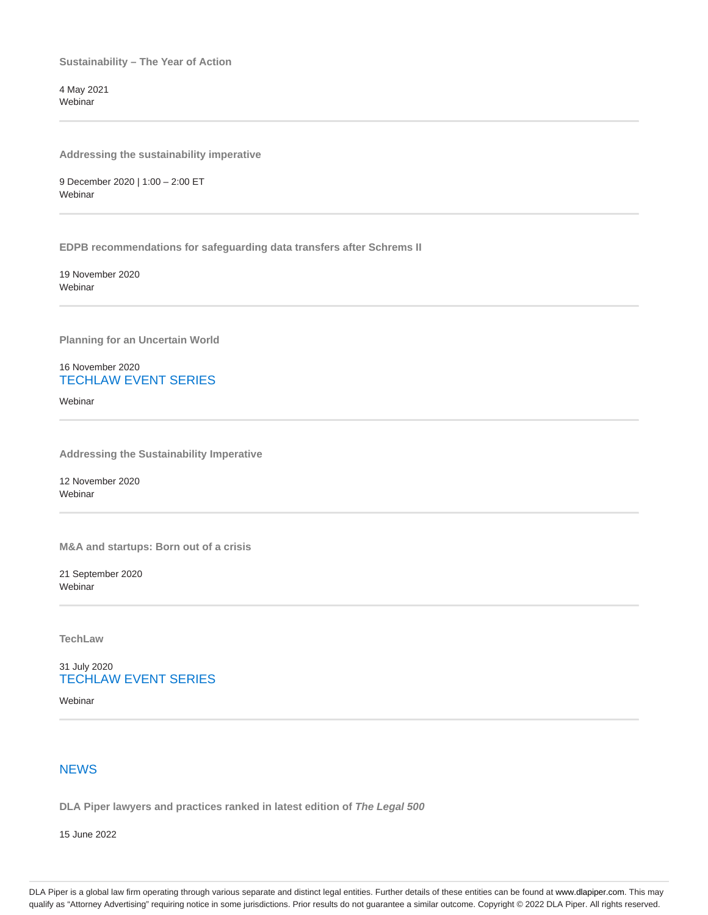**Sustainability – The Year of Action**

4 May 2021 Webinar

**Addressing the sustainability imperative**

9 December 2020 | 1:00 – 2:00 ET Webinar

**EDPB recommendations for safeguarding data transfers after Schrems II**

19 November 2020 **Webinar** 

**Planning for an Uncertain World**

16 November 2020 TECHLAW EVENT SERIES

**Webinar** 

**Addressing the Sustainability Imperative**

12 November 2020 Webinar

**M&A and startups: Born out of a crisis**

21 September 2020 Webinar

**TechLaw**

31 July 2020 TECHLAW EVENT SERIES

Webinar

# **NEWS**

**DLA Piper lawyers and practices ranked in latest edition of The Legal 500**

15 June 2022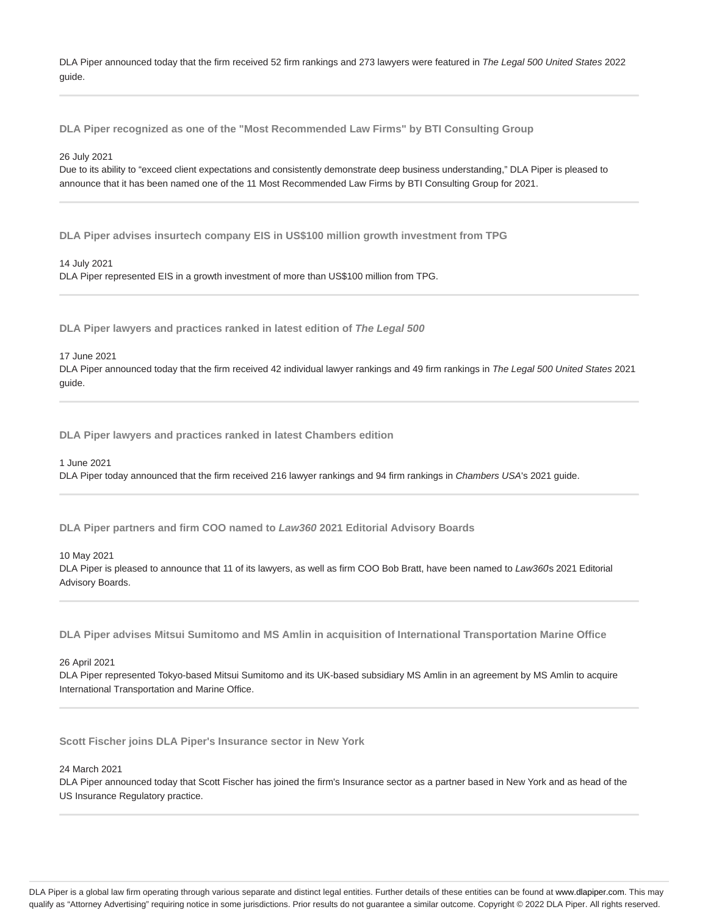DLA Piper announced today that the firm received 52 firm rankings and 273 lawyers were featured in The Legal 500 United States 2022 guide.

**DLA Piper recognized as one of the "Most Recommended Law Firms" by BTI Consulting Group**

26 July 2021

Due to its ability to "exceed client expectations and consistently demonstrate deep business understanding," DLA Piper is pleased to announce that it has been named one of the 11 Most Recommended Law Firms by BTI Consulting Group for 2021.

**DLA Piper advises insurtech company EIS in US\$100 million growth investment from TPG**

14 July 2021 DLA Piper represented EIS in a growth investment of more than US\$100 million from TPG.

**DLA Piper lawyers and practices ranked in latest edition of The Legal 500**

17 June 2021

DLA Piper announced today that the firm received 42 individual lawyer rankings and 49 firm rankings in The Legal 500 United States 2021 guide.

**DLA Piper lawyers and practices ranked in latest Chambers edition**

1 June 2021

DLA Piper today announced that the firm received 216 lawyer rankings and 94 firm rankings in Chambers USA's 2021 guide.

**DLA Piper partners and firm COO named to Law360 2021 Editorial Advisory Boards**

10 May 2021

DLA Piper is pleased to announce that 11 of its lawyers, as well as firm COO Bob Bratt, have been named to Law360s 2021 Editorial Advisory Boards.

**DLA Piper advises Mitsui Sumitomo and MS Amlin in acquisition of International Transportation Marine Office**

26 April 2021

DLA Piper represented Tokyo-based Mitsui Sumitomo and its UK-based subsidiary MS Amlin in an agreement by MS Amlin to acquire International Transportation and Marine Office.

**Scott Fischer joins DLA Piper's Insurance sector in New York**

24 March 2021

DLA Piper announced today that Scott Fischer has joined the firm's Insurance sector as a partner based in New York and as head of the US Insurance Regulatory practice.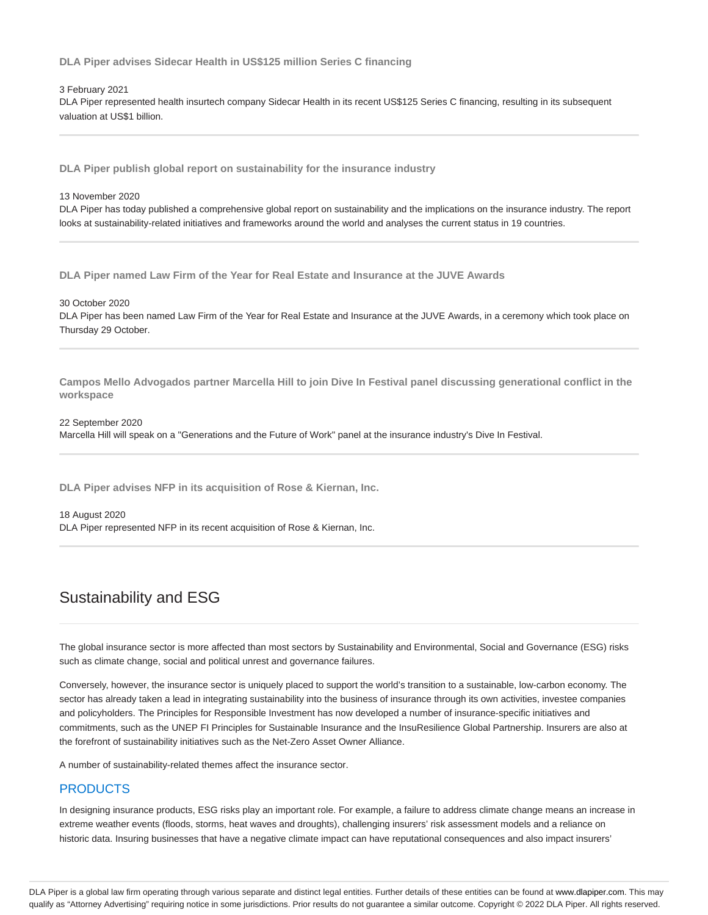**DLA Piper advises Sidecar Health in US\$125 million Series C financing**

### 3 February 2021

DLA Piper represented health insurtech company Sidecar Health in its recent US\$125 Series C financing, resulting in its subsequent valuation at US\$1 billion.

**DLA Piper publish global report on sustainability for the insurance industry**

13 November 2020

DLA Piper has today published a comprehensive global report on sustainability and the implications on the insurance industry. The report looks at sustainability-related initiatives and frameworks around the world and analyses the current status in 19 countries.

**DLA Piper named Law Firm of the Year for Real Estate and Insurance at the JUVE Awards**

30 October 2020

DLA Piper has been named Law Firm of the Year for Real Estate and Insurance at the JUVE Awards, in a ceremony which took place on Thursday 29 October.

**Campos Mello Advogados partner Marcella Hill to join Dive In Festival panel discussing generational conflict in the workspace**

22 September 2020 Marcella Hill will speak on a "Generations and the Future of Work" panel at the insurance industry's Dive In Festival.

**DLA Piper advises NFP in its acquisition of Rose & Kiernan, Inc.**

18 August 2020

DLA Piper represented NFP in its recent acquisition of Rose & Kiernan, Inc.

# Sustainability and ESG

The global insurance sector is more affected than most sectors by Sustainability and Environmental, Social and Governance (ESG) risks such as climate change, social and political unrest and governance failures.

Conversely, however, the insurance sector is uniquely placed to support the world's transition to a sustainable, low-carbon economy. The sector has already taken a lead in integrating sustainability into the business of insurance through its own activities, investee companies and policyholders. The Principles for Responsible Investment has now developed a number of insurance-specific initiatives and commitments, such as the UNEP FI Principles for Sustainable Insurance and the InsuResilience Global Partnership. Insurers are also at the forefront of sustainability initiatives such as the Net-Zero Asset Owner Alliance.

A number of sustainability-related themes affect the insurance sector.

# **PRODUCTS**

In designing insurance products, ESG risks play an important role. For example, a failure to address climate change means an increase in extreme weather events (floods, storms, heat waves and droughts), challenging insurers' risk assessment models and a reliance on historic data. Insuring businesses that have a negative climate impact can have reputational consequences and also impact insurers'